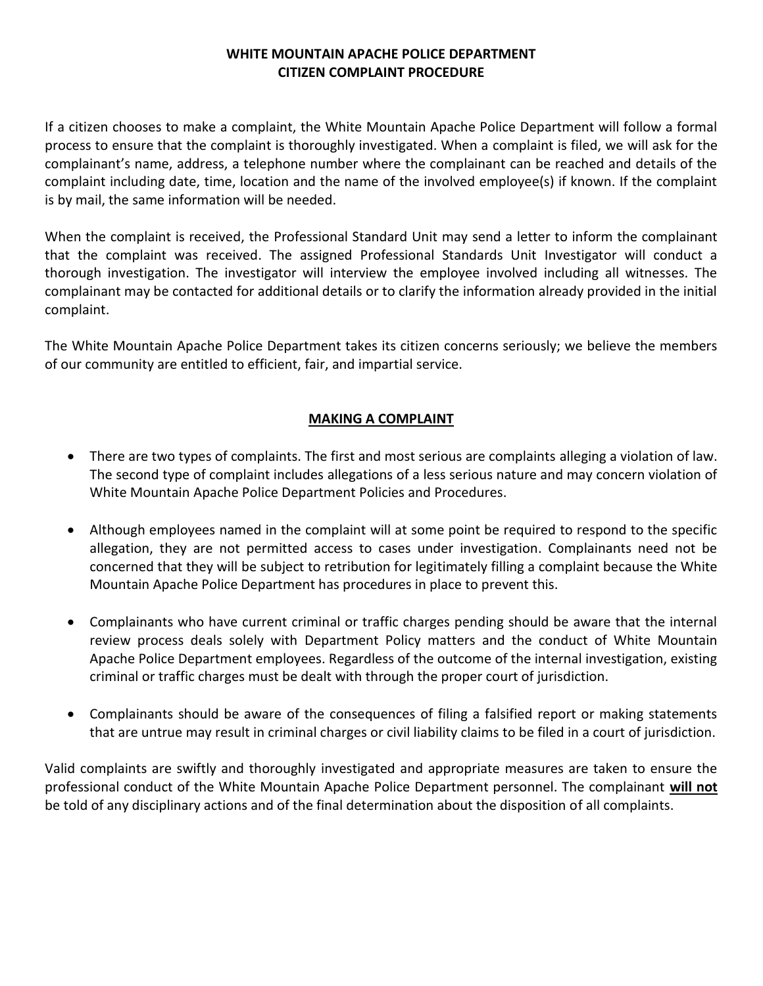## **WHITE MOUNTAIN APACHE POLICE DEPARTMENT CITIZEN COMPLAINT PROCEDURE**

If a citizen chooses to make a complaint, the White Mountain Apache Police Department will follow a formal process to ensure that the complaint is thoroughly investigated. When a complaint is filed, we will ask for the complainant's name, address, a telephone number where the complainant can be reached and details of the complaint including date, time, location and the name of the involved employee(s) if known. If the complaint is by mail, the same information will be needed.

When the complaint is received, the Professional Standard Unit may send a letter to inform the complainant that the complaint was received. The assigned Professional Standards Unit Investigator will conduct a thorough investigation. The investigator will interview the employee involved including all witnesses. The complainant may be contacted for additional details or to clarify the information already provided in the initial complaint.

The White Mountain Apache Police Department takes its citizen concerns seriously; we believe the members of our community are entitled to efficient, fair, and impartial service.

## **MAKING A COMPLAINT**

- There are two types of complaints. The first and most serious are complaints alleging a violation of law. The second type of complaint includes allegations of a less serious nature and may concern violation of White Mountain Apache Police Department Policies and Procedures.
- Although employees named in the complaint will at some point be required to respond to the specific allegation, they are not permitted access to cases under investigation. Complainants need not be concerned that they will be subject to retribution for legitimately filling a complaint because the White Mountain Apache Police Department has procedures in place to prevent this.
- Complainants who have current criminal or traffic charges pending should be aware that the internal review process deals solely with Department Policy matters and the conduct of White Mountain Apache Police Department employees. Regardless of the outcome of the internal investigation, existing criminal or traffic charges must be dealt with through the proper court of jurisdiction.
- Complainants should be aware of the consequences of filing a falsified report or making statements that are untrue may result in criminal charges or civil liability claims to be filed in a court of jurisdiction.

Valid complaints are swiftly and thoroughly investigated and appropriate measures are taken to ensure the professional conduct of the White Mountain Apache Police Department personnel. The complainant **will not** be told of any disciplinary actions and of the final determination about the disposition of all complaints.